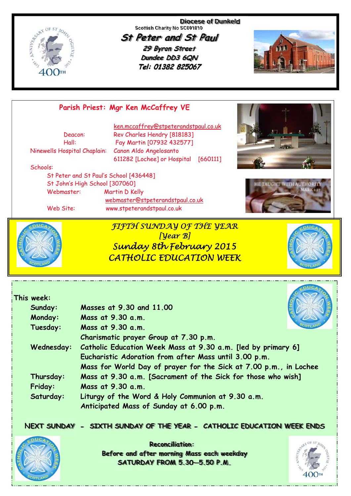

**Diocese of Dunkeld Scottish Charity No SC001810** 

**St Peter and St Paul 29 Byron Street Dundee DD3 6QN** Tel: 01382 825067



## **Parish Priest: Mgr Ken McCaffrey VE**

Ninewells Hospital Chaplain: Canon Aldo Angelosanto

 ken.mccaffrey@stpeterandstpaul.co.uk Deacon: Rev Charles Hendry [818183] Hall: Fay Martin [07932 432577] 611282 [Lochee] or Hospital [660111]

#### Schools:

 St Peter and St Paul's School [436448] St John's High School [307060] Webmaster: Martin D Kelly webmaster@stpeterandstpaul.co.uk

Web Site: www.stpeterandstpaul.co.uk







**This week:** 

*FIFTH SUNDAY OF THE YEAR [Year B] Sunday 8th February 2015 CATHOLIC EDUCATION WEEK* 



|  | Sunday:        | Masses at 9.30 and 11.00                                          |
|--|----------------|-------------------------------------------------------------------|
|  | <b>Monday:</b> | Mass at 9.30 a.m.                                                 |
|  | Tuesday:       | Mass at 9.30 a.m.                                                 |
|  |                | Charismatic prayer Group at 7.30 p.m.                             |
|  | Wednesday:     | Catholic Education Week Mass at 9.30 a.m. [led by primary 6]      |
|  |                | Eucharistic Adoration from after Mass until 3.00 p.m.             |
|  |                | Mass for World Day of prayer for the Sick at 7.00 p.m., in Lochee |
|  | Thursday:      | Mass at 9.30 a.m. [Sacrament of the Sick for those who wish]      |
|  | Friday:        | Mass at 9.30 a.m.                                                 |
|  | Saturday:      | Liturgy of the Word & Holy Communion at 9.30 a.m.                 |
|  |                | Anticipated Mass of Sunday at 6.00 p.m.                           |

**NEXT SUNDAY - SIXTH SUNDAY OF THE YEAR - CATHOLIC EDUCATION WEEK ENDS**



**Reconciliation: Before and after morning Mass each weekday SATURDAY FROM 5.30—5.50 P.M.**

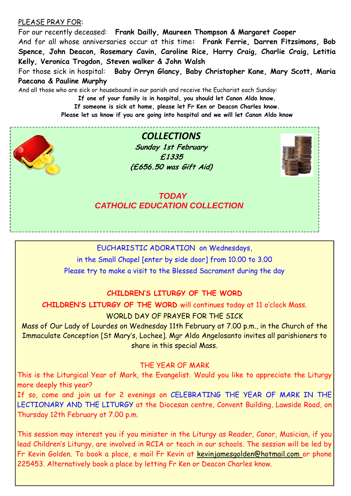#### PLEASE PRAY FOR:

For our recently deceased: **Frank Dailly, Maureen Thompson & Margaret Cooper**  And for all whose anniversaries occur at this time**: Frank Ferrie, Darren Fitzsimons, Bob Spence, John Deacon, Rosemary Cavin, Caroline Rice, Harry Craig, Charlie Craig, Letitia Kelly, Veronica Trogdon, Steven walker & John Walsh**  For those sick in hospital: **Baby Orryn Glancy, Baby Christopher Kane, Mary Scott, Maria** 

**Paecana & Pauline Murphy** 

And all those who are sick or housebound in our parish and receive the Eucharist each Sunday:

**If one of your family is in hospital, you should let Canon Aldo know. If someone is sick at home, please let Fr Ken or Deacon Charles know. Please let us know if you are going into hospital and we will let Canon Aldo know** 



 *CATHOLIC EDUCATION COLLECTION* 

### EUCHARISTIC ADORATION on Wednesdays,

in the Small Chapel [enter by side door] from 10.00 to 3.00 Please try to make a visit to the Blessed Sacrament during the day

#### **CHILDREN'S LITURGY OF THE WORD**

**CHILDREN'S LITURGY OF THE WORD** will continues today at 11 o'clock Mass.

WORLD DAY OF PRAYER FOR THE STCK

Mass of Our Lady of Lourdes on Wednesday 11th February at 7.00 p.m., in the Church of the Immaculate Conception [St Mary's, Lochee]. Mgr Aldo Angelosanto invites all parishioners to share in this special Mass.

#### THE YEAR OF MARK

This is the Liturgical Year of Mark, the Evangelist. Would you like to appreciate the Liturgy more deeply this year?

If so, come and join us for 2 evenings on CELEBRATING THE YEAR OF MARK IN THE LECTIONARY AND THE LITURGY at the Diocesan centre, Convent Building, Lawside Road, on Thursday 12th February at 7.00 p.m.

This session may interest you if you minister in the Liturgy as Reader, Canor, Musician, if you lead Children's Liturgy, are involved in RCIA or teach in our schools. The session will be led by Fr Kevin Golden. To book a place, e mail Fr Kevin at kevinjamesgolden@hotmail.com or phone 225453. Alternatively book a place by letting Fr Ken or Deacon Charles know.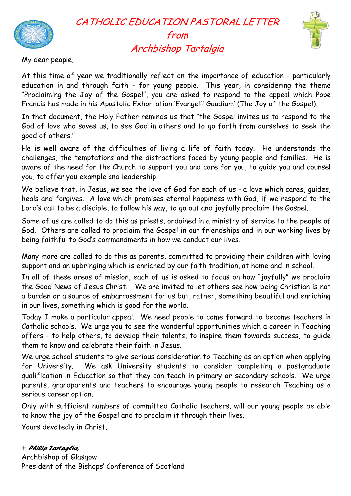

# CATHOLIC EDUCATION PASTORAL LETTER from Archbishop Tartalgia



My dear people,

At this time of year we traditionally reflect on the importance of education - particularly education in and through faith - for young people. This year, in considering the theme "Proclaiming the Joy of the Gospel", you are asked to respond to the appeal which Pope Francis has made in his Apostolic Exhortation 'Evangelii Gaudium' (The Joy of the Gospel).

In that document, the Holy Father reminds us that "the Gospel invites us to respond to the God of love who saves us, to see God in others and to go forth from ourselves to seek the good of others."

He is well aware of the difficulties of living a life of faith today. He understands the challenges, the temptations and the distractions faced by young people and families. He is aware of the need for the Church to support you and care for you, to guide you and counsel you, to offer you example and leadership.

We believe that, in Jesus, we see the love of God for each of us - a love which cares, quides, heals and forgives. A love which promises eternal happiness with God, if we respond to the Lord's call to be a disciple, to follow his way, to go out and joyfully proclaim the Gospel.

Some of us are called to do this as priests, ordained in a ministry of service to the people of God. Others are called to proclaim the Gospel in our friendships and in our working lives by being faithful to God's commandments in how we conduct our lives.

Many more are called to do this as parents, committed to providing their children with loving support and an upbringing which is enriched by our faith tradition, at home and in school.

In all of these areas of mission, each of us is asked to focus on how "joyfully" we proclaim the Good News of Jesus Christ. We are invited to let others see how being Christian is not a burden or a source of embarrassment for us but, rather, something beautiful and enriching in our lives, something which is good for the world.

Today I make a particular appeal. We need people to come forward to become teachers in Catholic schools. We urge you to see the wonderful opportunities which a career in Teaching offers - to help others, to develop their talents, to inspire them towards success, to guide them to know and celebrate their faith in Jesus.

We urge school students to give serious consideration to Teaching as an option when applying for University. We ask University students to consider completing a postgraduate qualification in Education so that they can teach in primary or secondary schools. We urge parents, grandparents and teachers to encourage young people to research Teaching as a serious career option.

Only with sufficient numbers of committed Catholic teachers, will our young people be able to know the joy of the Gospel and to proclaim it through their lives.

Yours devotedly in Christ,

#### *+ Philip Tartaglia,*

Archbishop of Glasgow President of the Bishops' Conference of Scotland